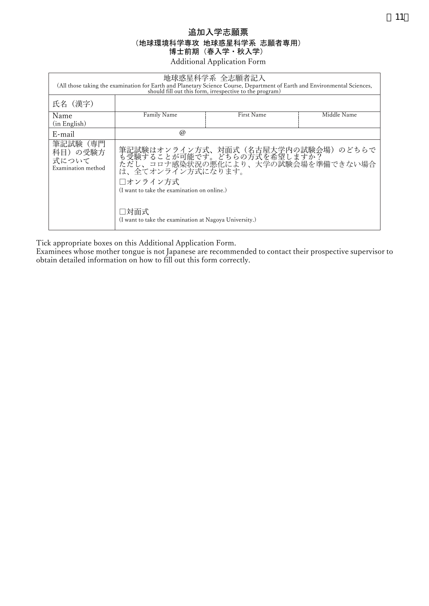## 追加入学志願票 (地球環境科学専攻 地球惑星科学系 志願者専用) 博士前期(春入学・秋入学) Additional Application Form

| 地球惑星科学系 全志願者記入<br>(All those taking the examination for Earth and Planetary Science Course, Department of Earth and Environmental Sciences,<br>should fill out this form, irrespective to the program) |                                                                                                                                                                                         |            |             |  |  |
|--------------------------------------------------------------------------------------------------------------------------------------------------------------------------------------------------------|-----------------------------------------------------------------------------------------------------------------------------------------------------------------------------------------|------------|-------------|--|--|
| 氏名(漢字)                                                                                                                                                                                                 |                                                                                                                                                                                         |            |             |  |  |
| Name<br>(in English)                                                                                                                                                                                   | Family Name                                                                                                                                                                             | First Name | Middle Name |  |  |
| E-mail                                                                                                                                                                                                 | $\omega$                                                                                                                                                                                |            |             |  |  |
| 筆記試験<br>(専門<br>科目)の受験方<br>式について<br>Examination method                                                                                                                                                  | 筆記試験はオンライン方式、対面式(名古屋大学内の試験会場)のどちらで<br>も受験することが可能です。どちらの方式を希望しますか?<br>ただし、コロナ感染状況の悪化により、大学の試験会場を準備できない場合<br>は、全てオンライン方式になります。<br>□オンライン方式<br>(I want to take the examination on online.) |            |             |  |  |
|                                                                                                                                                                                                        | □対面式<br>(I want to take the examination at Nagoya University.)                                                                                                                          |            |             |  |  |

Tick appropriate boxes on this Additional Application Form.

Examinees whose mother tongue is not Japanese are recommended to contact their prospective supervisor to obtain detailed information on how to fill out this form correctly.